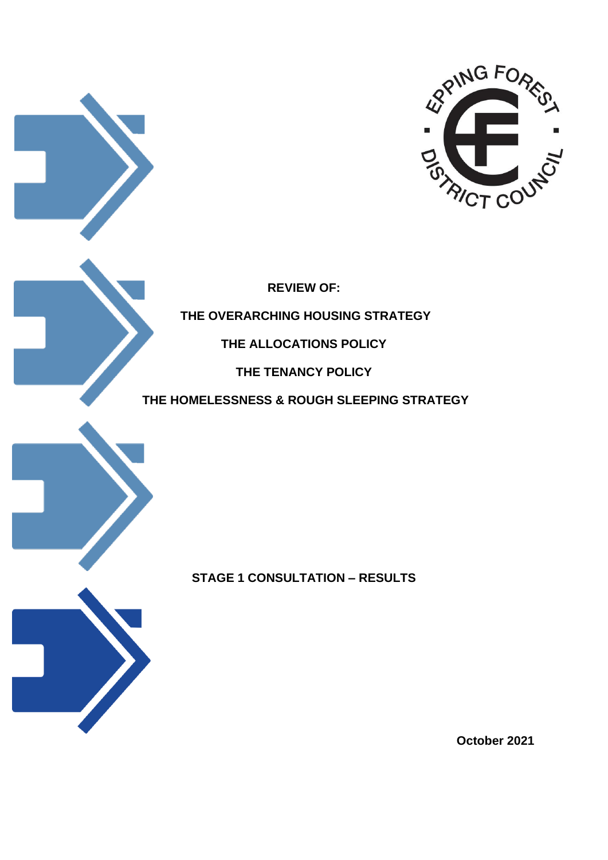

**October 2021**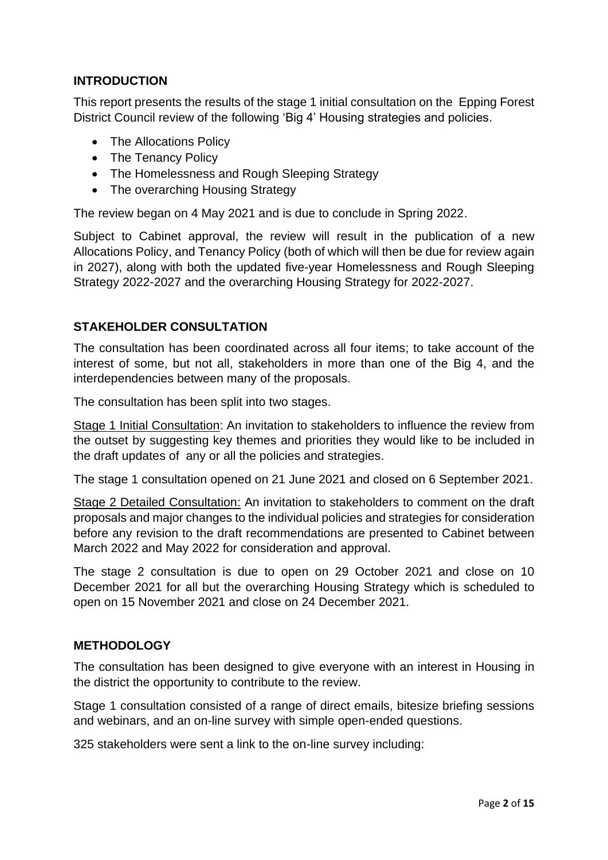## **INTRODUCTION**

This report presents the results of the stage 1 initial consultation on the Epping Forest District Council review of the following 'Big 4' Housing strategies and policies.

- The Allocations Policy
- The Tenancy Policy
- The Homelessness and Rough Sleeping Strategy
- The overarching Housing Strategy

The review began on 4 May 2021 and is due to conclude in Spring 2022.

Subject to Cabinet approval, the review will result in the publication of a new Allocations Policy, and Tenancy Policy (both of which will then be due for review again in 2027), along with both the updated five-year Homelessness and Rough Sleeping Strategy 2022-2027 and the overarching Housing Strategy for 2022-2027.

## **STAKEHOLDER CONSULTATION**

The consultation has been coordinated across all four items; to take account of the interest of some, but not all, stakeholders in more than one of the Big 4, and the interdependencies between many of the proposals.

The consultation has been split into two stages.

Stage 1 Initial Consultation: An invitation to stakeholders to influence the review from the outset by suggesting key themes and priorities they would like to be included in the draft updates of any or all the policies and strategies.

The stage 1 consultation opened on 21 June 2021 and closed on 6 September 2021.

Stage 2 Detailed Consultation: An invitation to stakeholders to comment on the draft proposals and major changes to the individual policies and strategies for consideration before any revision to the draft recommendations are presented to Cabinet between March 2022 and May 2022 for consideration and approval.

The stage 2 consultation is due to open on 29 October 2021 and close on 10 December 2021 for all but the overarching Housing Strategy which is scheduled to open on 15 November 2021 and close on 24 December 2021.

## **METHODOLOGY**

The consultation has been designed to give everyone with an interest in Housing in the district the opportunity to contribute to the review.

Stage 1 consultation consisted of a range of direct emails, bitesize briefing sessions and webinars, and an on-line survey with simple open-ended questions.

325 stakeholders were sent a link to the on-line survey including: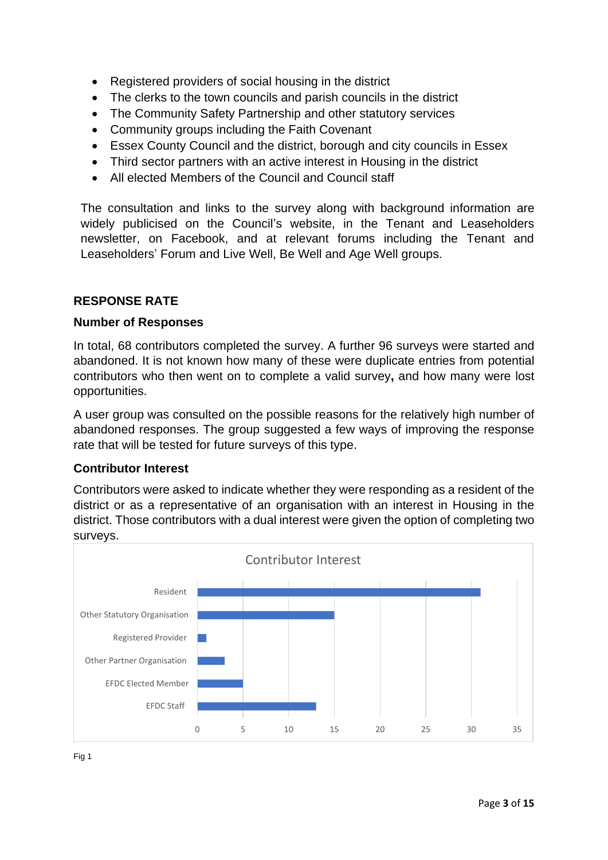- Registered providers of social housing in the district
- The clerks to the town councils and parish councils in the district
- The Community Safety Partnership and other statutory services
- Community groups including the Faith Covenant
- Essex County Council and the district, borough and city councils in Essex
- Third sector partners with an active interest in Housing in the district
- All elected Members of the Council and Council staff

The consultation and links to the survey along with background information are widely publicised on the Council's website, in the Tenant and Leaseholders newsletter, on Facebook, and at relevant forums including the Tenant and Leaseholders' Forum and Live Well, Be Well and Age Well groups.

## **RESPONSE RATE**

#### **Number of Responses**

In total, 68 contributors completed the survey. A further 96 surveys were started and abandoned. It is not known how many of these were duplicate entries from potential contributors who then went on to complete a valid survey**,** and how many were lost opportunities.

A user group was consulted on the possible reasons for the relatively high number of abandoned responses. The group suggested a few ways of improving the response rate that will be tested for future surveys of this type.

#### **Contributor Interest**

Contributors were asked to indicate whether they were responding as a resident of the district or as a representative of an organisation with an interest in Housing in the district. Those contributors with a dual interest were given the option of completing two surveys.



Fig 1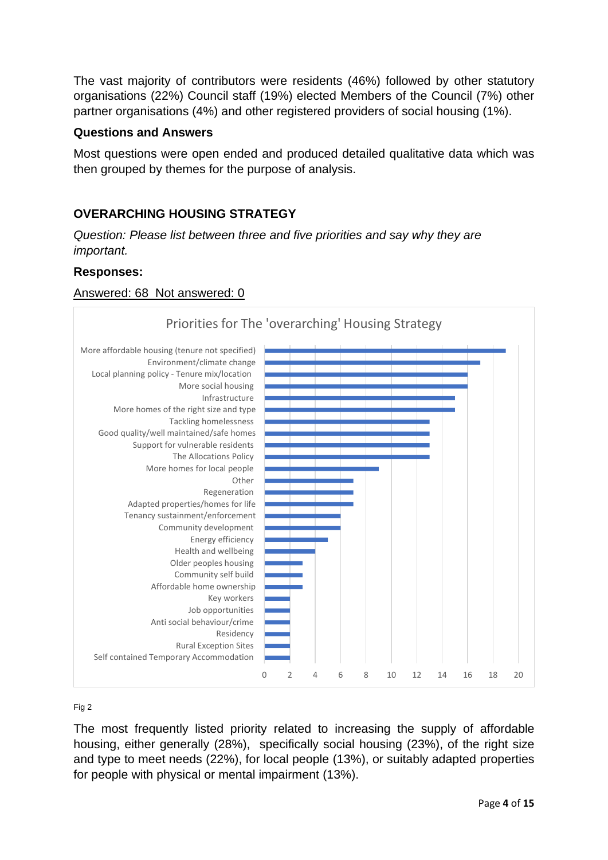The vast majority of contributors were residents (46%) followed by other statutory organisations (22%) Council staff (19%) elected Members of the Council (7%) other partner organisations (4%) and other registered providers of social housing (1%).

#### **Questions and Answers**

Most questions were open ended and produced detailed qualitative data which was then grouped by themes for the purpose of analysis.

## **OVERARCHING HOUSING STRATEGY**

*Question: Please list between three and five priorities and say why they are important.*

#### **Responses:**

#### Answered: 68 Not answered: 0



#### Fig 2

The most frequently listed priority related to increasing the supply of affordable housing, either generally (28%), specifically social housing (23%), of the right size and type to meet needs (22%), for local people (13%), or suitably adapted properties for people with physical or mental impairment (13%).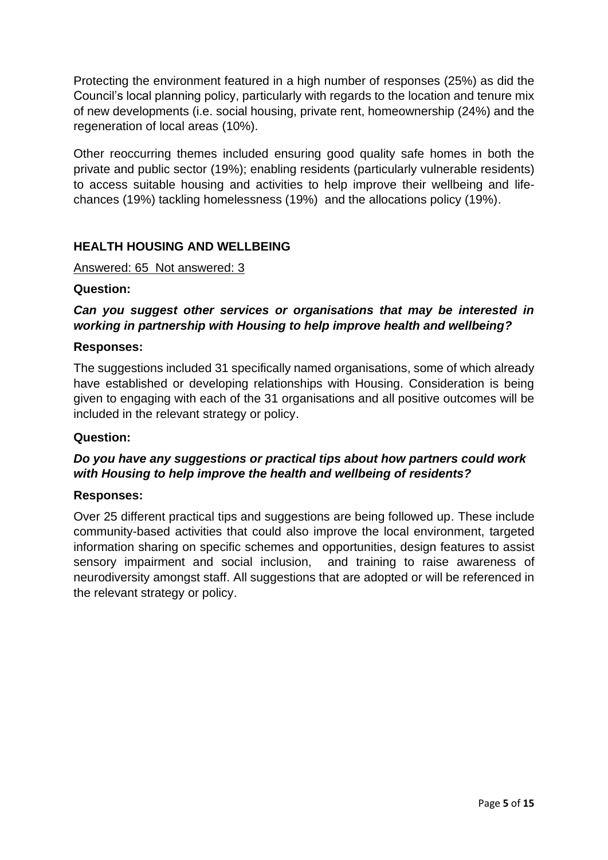Protecting the environment featured in a high number of responses (25%) as did the Council's local planning policy, particularly with regards to the location and tenure mix of new developments (i.e. social housing, private rent, homeownership (24%) and the regeneration of local areas (10%).

Other reoccurring themes included ensuring good quality safe homes in both the private and public sector (19%); enabling residents (particularly vulnerable residents) to access suitable housing and activities to help improve their wellbeing and lifechances (19%) tackling homelessness (19%) and the allocations policy (19%).

## **HEALTH HOUSING AND WELLBEING**

Answered: 65 Not answered: 3

## **Question:**

## *Can you suggest other services or organisations that may be interested in working in partnership with Housing to help improve health and wellbeing?*

### **Responses:**

The suggestions included 31 specifically named organisations, some of which already have established or developing relationships with Housing. Consideration is being given to engaging with each of the 31 organisations and all positive outcomes will be included in the relevant strategy or policy.

#### **Question:**

## *Do you have any suggestions or practical tips about how partners could work with Housing to help improve the health and wellbeing of residents?*

#### **Responses:**

Over 25 different practical tips and suggestions are being followed up. These include community-based activities that could also improve the local environment, targeted information sharing on specific schemes and opportunities, design features to assist sensory impairment and social inclusion, and training to raise awareness of neurodiversity amongst staff. All suggestions that are adopted or will be referenced in the relevant strategy or policy.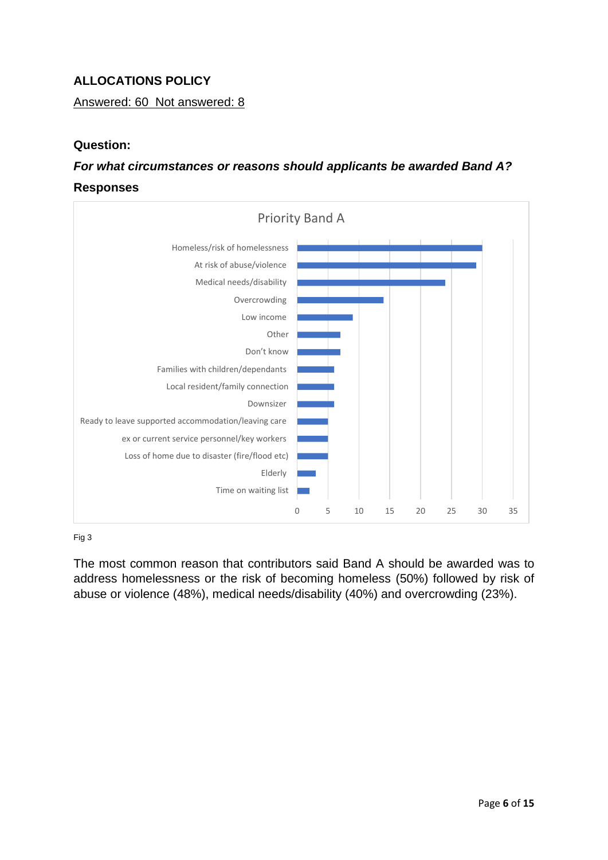## **ALLOCATIONS POLICY**

Answered: 60 Not answered: 8

## **Question:**

# *For what circumstances or reasons should applicants be awarded Band A?* **Responses**



#### Fig 3

The most common reason that contributors said Band A should be awarded was to address homelessness or the risk of becoming homeless (50%) followed by risk of abuse or violence (48%), medical needs/disability (40%) and overcrowding (23%).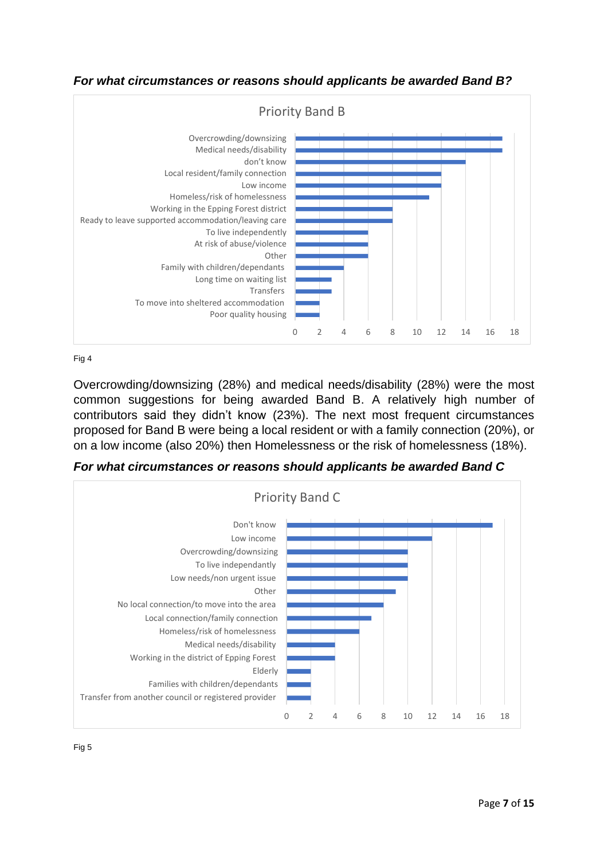*For what circumstances or reasons should applicants be awarded Band B?* 



Fig 4

Overcrowding/downsizing (28%) and medical needs/disability (28%) were the most common suggestions for being awarded Band B. A relatively high number of contributors said they didn't know (23%). The next most frequent circumstances proposed for Band B were being a local resident or with a family connection (20%), or on a low income (also 20%) then Homelessness or the risk of homelessness (18%).

*For what circumstances or reasons should applicants be awarded Band C* 

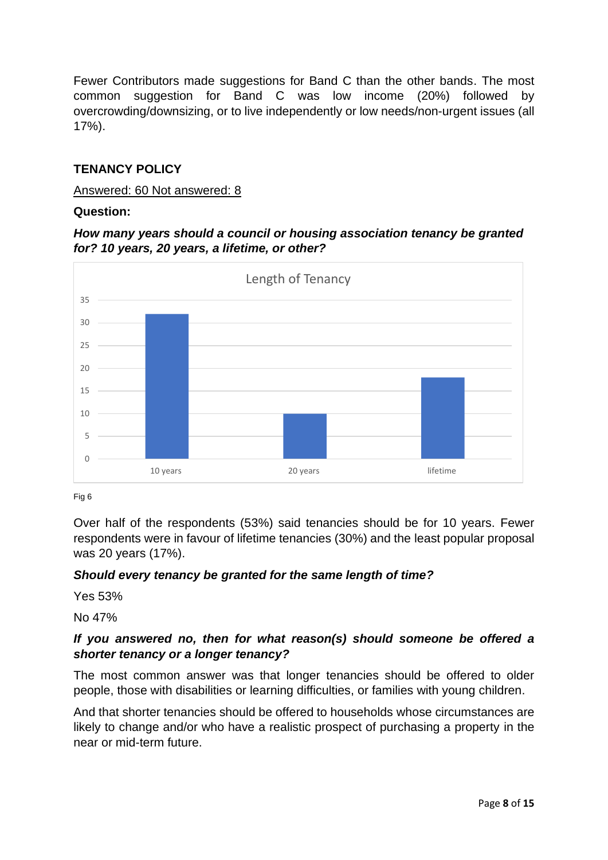Fewer Contributors made suggestions for Band C than the other bands. The most common suggestion for Band C was low income (20%) followed by overcrowding/downsizing, or to live independently or low needs/non-urgent issues (all 17%).

## **TENANCY POLICY**

## Answered: 60 Not answered: 8

### **Question:**

*How many years should a council or housing association tenancy be granted for? 10 years, 20 years, a lifetime, or other?*



#### Fig 6

Over half of the respondents (53%) said tenancies should be for 10 years. Fewer respondents were in favour of lifetime tenancies (30%) and the least popular proposal was 20 years (17%).

## *Should every tenancy be granted for the same length of time?*

Yes 53%

No 47%

## *If you answered no, then for what reason(s) should someone be offered a shorter tenancy or a longer tenancy?*

The most common answer was that longer tenancies should be offered to older people, those with disabilities or learning difficulties, or families with young children.

And that shorter tenancies should be offered to households whose circumstances are likely to change and/or who have a realistic prospect of purchasing a property in the near or mid-term future.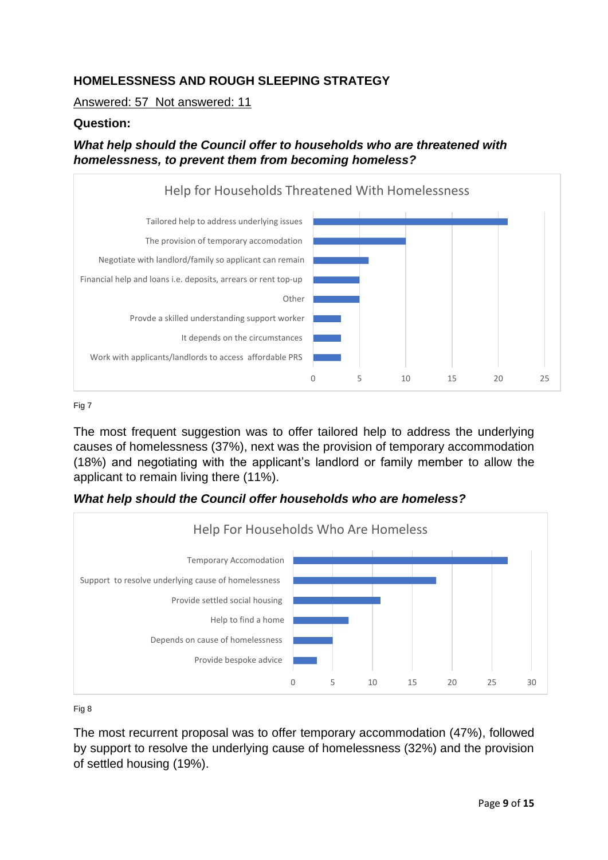## **HOMELESSNESS AND ROUGH SLEEPING STRATEGY**

Answered: 57 Not answered: 11

#### **Question:**

*What help should the Council offer to households who are threatened with homelessness, to prevent them from becoming homeless?*



Fig 7

The most frequent suggestion was to offer tailored help to address the underlying causes of homelessness (37%), next was the provision of temporary accommodation (18%) and negotiating with the applicant's landlord or family member to allow the applicant to remain living there (11%).

*What help should the Council offer households who are homeless?*



Fig 8

The most recurrent proposal was to offer temporary accommodation (47%), followed by support to resolve the underlying cause of homelessness (32%) and the provision of settled housing (19%).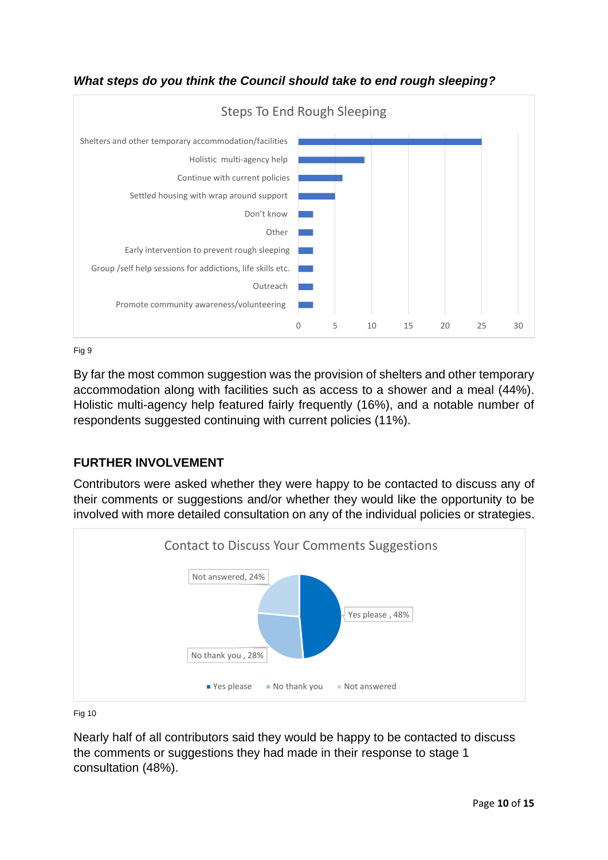



Fig 9

By far the most common suggestion was the provision of shelters and other temporary accommodation along with facilities such as access to a shower and a meal (44%). Holistic multi-agency help featured fairly frequently (16%), and a notable number of respondents suggested continuing with current policies (11%).

## **FURTHER INVOLVEMENT**

Contributors were asked whether they were happy to be contacted to discuss any of their comments or suggestions and/or whether they would like the opportunity to be involved with more detailed consultation on any of the individual policies or strategies.



#### Fig 10

Nearly half of all contributors said they would be happy to be contacted to discuss the comments or suggestions they had made in their response to stage 1 consultation (48%).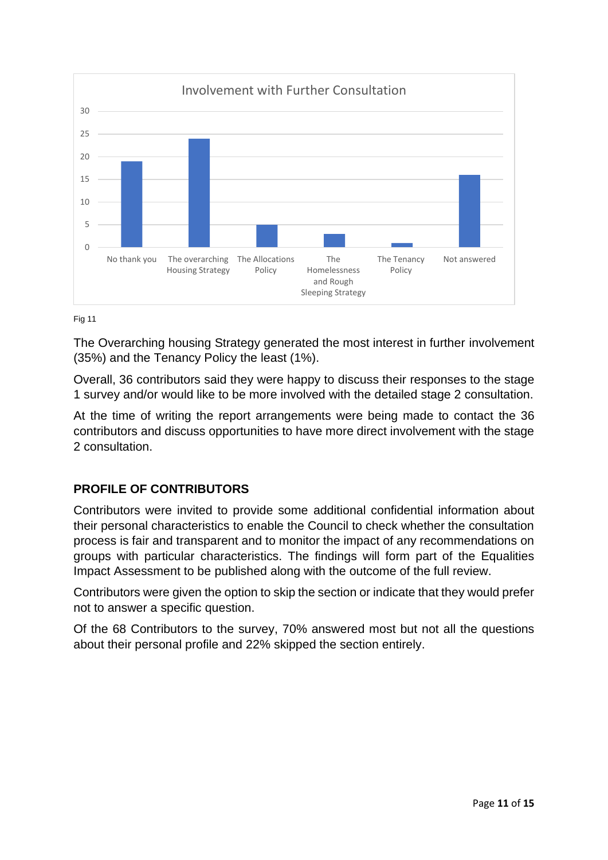

Fig 11

The Overarching housing Strategy generated the most interest in further involvement (35%) and the Tenancy Policy the least (1%).

Overall, 36 contributors said they were happy to discuss their responses to the stage 1 survey and/or would like to be more involved with the detailed stage 2 consultation.

At the time of writing the report arrangements were being made to contact the 36 contributors and discuss opportunities to have more direct involvement with the stage 2 consultation.

## **PROFILE OF CONTRIBUTORS**

Contributors were invited to provide some additional confidential information about their personal characteristics to enable the Council to check whether the consultation process is fair and transparent and to monitor the impact of any recommendations on groups with particular characteristics. The findings will form part of the Equalities Impact Assessment to be published along with the outcome of the full review.

Contributors were given the option to skip the section or indicate that they would prefer not to answer a specific question.

Of the 68 Contributors to the survey, 70% answered most but not all the questions about their personal profile and 22% skipped the section entirely.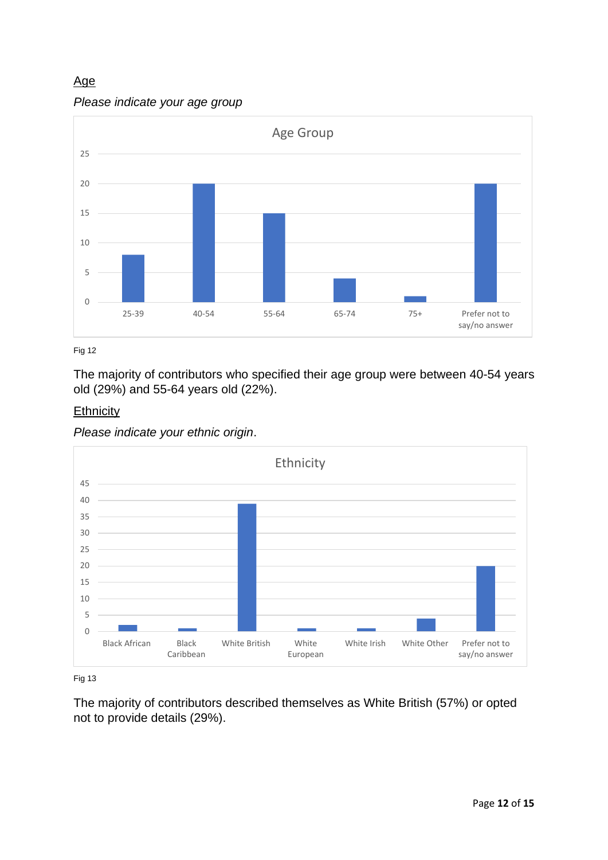## Age





Fig 12

The majority of contributors who specified their age group were between 40-54 years old (29%) and 55-64 years old (22%).

## **Ethnicity**





Fig 13

The majority of contributors described themselves as White British (57%) or opted not to provide details (29%).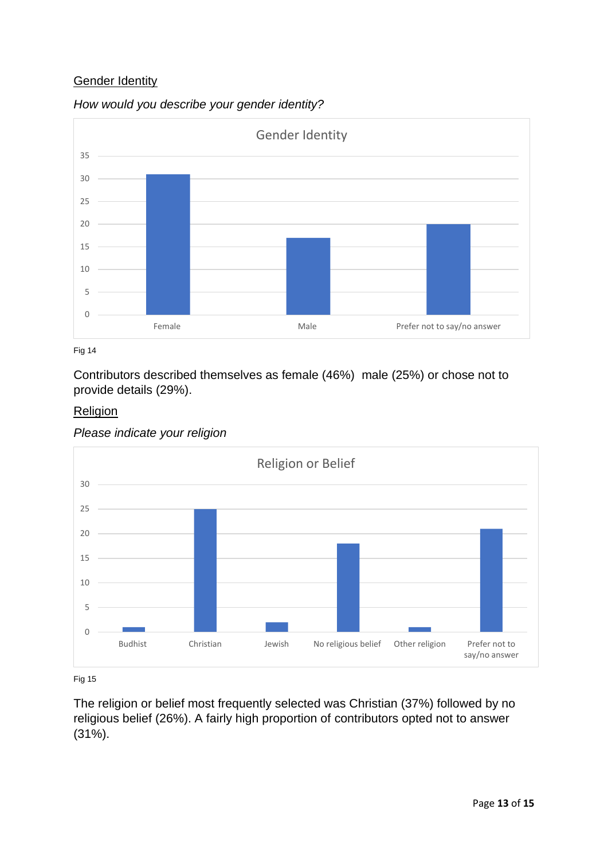## **Gender Identity**



*How would you describe your gender identity?*

Fig 14

Contributors described themselves as female (46%) male (25%) or chose not to provide details (29%).

## Religion





Fig 15

The religion or belief most frequently selected was Christian (37%) followed by no religious belief (26%). A fairly high proportion of contributors opted not to answer (31%).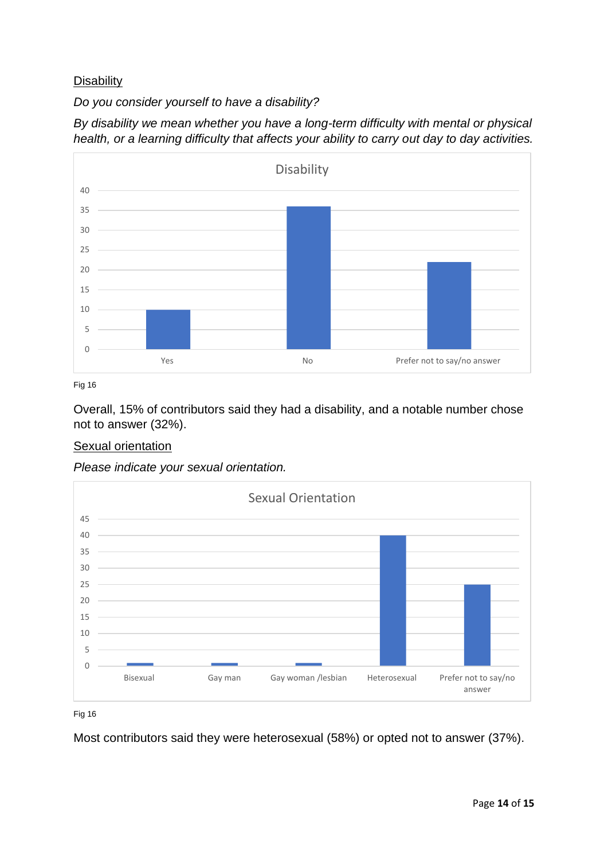## **Disability**

*Do you consider yourself to have a disability?*

*By disability we mean whether you have a long-term difficulty with mental or physical health, or a learning difficulty that affects your ability to carry out day to day activities.* 



#### Fig 16

Overall, 15% of contributors said they had a disability, and a notable number chose not to answer (32%).

## Sexual orientation





Fig 16

Most contributors said they were heterosexual (58%) or opted not to answer (37%).